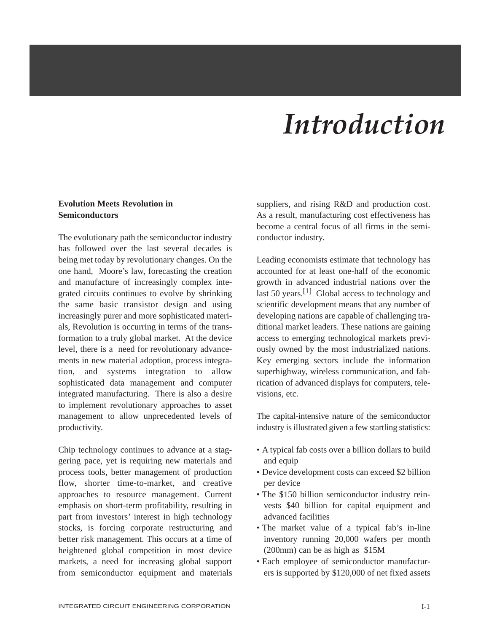# *Introduction*

## **Evolution Meets Revolution in Semiconductors**

The evolutionary path the semiconductor industry has followed over the last several decades is being met today by revolutionary changes. On the one hand, Moore's law, forecasting the creation and manufacture of increasingly complex integrated circuits continues to evolve by shrinking the same basic transistor design and using increasingly purer and more sophisticated materials, Revolution is occurring in terms of the transformation to a truly global market. At the device level, there is a need for revolutionary advancements in new material adoption, process integration, and systems integration to allow sophisticated data management and computer integrated manufacturing. There is also a desire to implement revolutionary approaches to asset management to allow unprecedented levels of productivity.

Chip technology continues to advance at a staggering pace, yet is requiring new materials and process tools, better management of production flow, shorter time-to-market, and creative approaches to resource management. Current emphasis on short-term profitability, resulting in part from investors' interest in high technology stocks, is forcing corporate restructuring and better risk management. This occurs at a time of heightened global competition in most device markets, a need for increasing global support from semiconductor equipment and materials

suppliers, and rising R&D and production cost. As a result, manufacturing cost effectiveness has become a central focus of all firms in the semiconductor industry.

Leading economists estimate that technology has accounted for at least one-half of the economic growth in advanced industrial nations over the last 50 years.<sup>[1]</sup> Global access to technology and scientific development means that any number of developing nations are capable of challenging traditional market leaders. These nations are gaining access to emerging technological markets previously owned by the most industrialized nations. Key emerging sectors include the information superhighway, wireless communication, and fabrication of advanced displays for computers, televisions, etc.

The capital-intensive nature of the semiconductor industry is illustrated given a few startling statistics:

- A typical fab costs over a billion dollars to build and equip
- Device development costs can exceed \$2 billion per device
- The \$150 billion semiconductor industry reinvests \$40 billion for capital equipment and advanced facilities
- The market value of a typical fab's in-line inventory running 20,000 wafers per month (200mm) can be as high as \$15M
- Each employee of semiconductor manufacturers is supported by \$120,000 of net fixed assets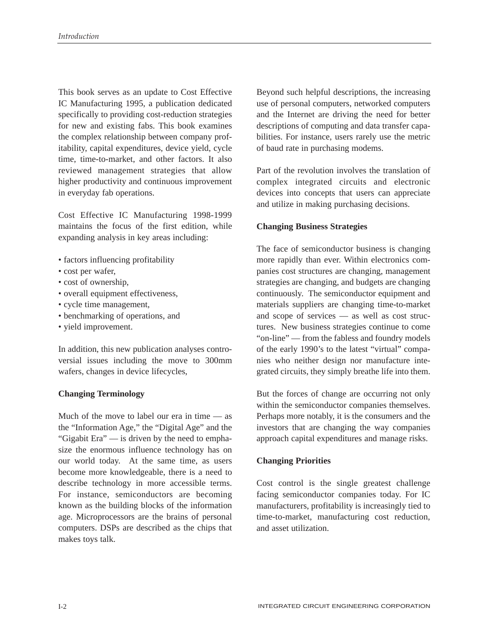This book serves as an update to Cost Effective IC Manufacturing 1995, a publication dedicated specifically to providing cost-reduction strategies for new and existing fabs. This book examines the complex relationship between company profitability, capital expenditures, device yield, cycle time, time-to-market, and other factors. It also reviewed management strategies that allow higher productivity and continuous improvement in everyday fab operations.

Cost Effective IC Manufacturing 1998-1999 maintains the focus of the first edition, while expanding analysis in key areas including:

- factors influencing profitability
- cost per wafer,
- cost of ownership,
- overall equipment effectiveness,
- cycle time management,
- benchmarking of operations, and
- yield improvement.

In addition, this new publication analyses controversial issues including the move to 300mm wafers, changes in device lifecycles,

## **Changing Terminology**

Much of the move to label our era in time — as the "Information Age," the "Digital Age" and the "Gigabit Era" — is driven by the need to emphasize the enormous influence technology has on our world today. At the same time, as users become more knowledgeable, there is a need to describe technology in more accessible terms. For instance, semiconductors are becoming known as the building blocks of the information age. Microprocessors are the brains of personal computers. DSPs are described as the chips that makes toys talk.

Beyond such helpful descriptions, the increasing use of personal computers, networked computers and the Internet are driving the need for better descriptions of computing and data transfer capabilities. For instance, users rarely use the metric of baud rate in purchasing modems.

Part of the revolution involves the translation of complex integrated circuits and electronic devices into concepts that users can appreciate and utilize in making purchasing decisions.

#### **Changing Business Strategies**

The face of semiconductor business is changing more rapidly than ever. Within electronics companies cost structures are changing, management strategies are changing, and budgets are changing continuously. The semiconductor equipment and materials suppliers are changing time-to-market and scope of services — as well as cost structures. New business strategies continue to come "on-line" — from the fabless and foundry models of the early 1990's to the latest "virtual" companies who neither design nor manufacture integrated circuits, they simply breathe life into them.

But the forces of change are occurring not only within the semiconductor companies themselves. Perhaps more notably, it is the consumers and the investors that are changing the way companies approach capital expenditures and manage risks.

## **Changing Priorities**

Cost control is the single greatest challenge facing semiconductor companies today. For IC manufacturers, profitability is increasingly tied to time-to-market, manufacturing cost reduction, and asset utilization.